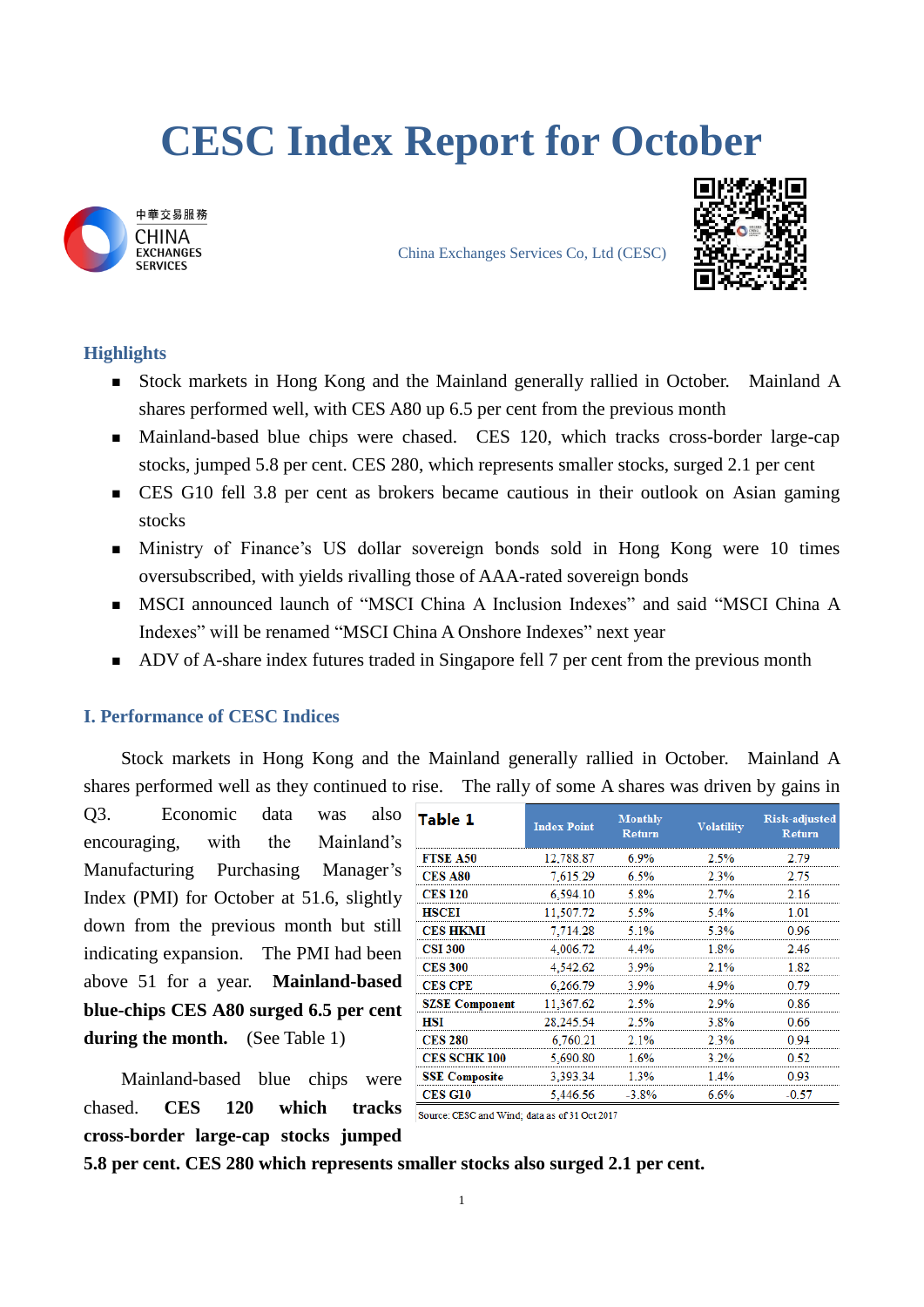# **CESC Index Report for October**



China Exchanges Services Co, Ltd (CESC)



### **Highlights**

- Stock markets in Hong Kong and the Mainland generally rallied in October. Mainland A shares performed well, with CES A80 up 6.5 per cent from the previous month
- Mainland-based blue chips were chased. CES 120, which tracks cross-border large-cap stocks, jumped 5.8 per cent. CES 280, which represents smaller stocks, surged 2.1 per cent
- CES G10 fell 3.8 per cent as brokers became cautious in their outlook on Asian gaming stocks
- Ministry of Finance's US dollar sovereign bonds sold in Hong Kong were 10 times oversubscribed, with yields rivalling those of AAA-rated sovereign bonds
- MSCI announced launch of "MSCI China A Inclusion Indexes" and said "MSCI China A Indexes" will be renamed "MSCI China A Onshore Indexes" next year
- ADV of A-share index futures traded in Singapore fell 7 per cent from the previous month

#### **I. Performance of CESC Indices**

Stock markets in Hong Kong and the Mainland generally rallied in October. Mainland A shares performed well as they continued to rise. The rally of some A shares was driven by gains in

Q3. Economic data was also encouraging, with the Mainland's Manufacturing Purchasing Manager's Index (PMI) for October at 51.6, slightly down from the previous month but still indicating expansion. The PMI had been above 51 for a year. **Mainland-based blue-chips CES A80 surged 6.5 per cent during the month.** (See Table 1)

Mainland-based blue chips were chased. **CES 120 which tracks cross-border large-cap stocks jumped** 

| Table 1               | <b>Index Point</b> | <b>Monthly</b><br><b>Return</b> | <b>Volatility</b> | <b>Risk-adjusted</b><br><b>Return</b> |
|-----------------------|--------------------|---------------------------------|-------------------|---------------------------------------|
| <b>FTSE A50</b>       | 12,788.87          | 6.9%                            | 2.5%              | 2.79                                  |
| <b>CES A80</b>        | 7,615.29           | - 6.5%                          | 2.3%              | 2.75                                  |
| <b>CES 120</b>        | 6.594.10           | 5.8%                            | 2.7%              | 2.16                                  |
| <b>HSCEI</b>          | 11,507.72          | 5.5%                            | 5.4%              | 1 01                                  |
| <b>CES HKMI</b>       | 7,714.28           | 5.1%                            | 5.3%              | 0.96                                  |
| <b>CSI 300</b>        | 4,006.72           | 4.4%                            | 1.8%              | 2.46                                  |
| <b>CES 300</b>        | 4.542.62           | 3.9%                            | 2.1%              | 182                                   |
| <b>CES CPE</b>        | 6.266.79           | 3.9%                            | 4.9%              | በ 79                                  |
| <b>SZSE Component</b> | 11,367.62          | 2.5%                            | 2.9%              | 0.86                                  |
| HSI                   | 28,245.54          | 2.5%                            | 3.8%              | 0.66                                  |
| <b>CES 280</b>        | 6.760.21           | 2.1%                            | 2.3%              | 0.94                                  |
| <b>CES SCHK 100</b>   | 5,690.80           | 1.6%                            | 3.2%              | 0.52                                  |
| <b>SSE Composite</b>  | 3,393.34           | 1.3%                            | 1.4%              | 0.93                                  |
| CES G10               | 5,446.56           | $-3.8\%$                        | 6.6%              | $-0.57$                               |

Source: CESC and Wind; data as of 31 Oct 2017

**5.8 per cent. CES 280 which represents smaller stocks also surged 2.1 per cent.**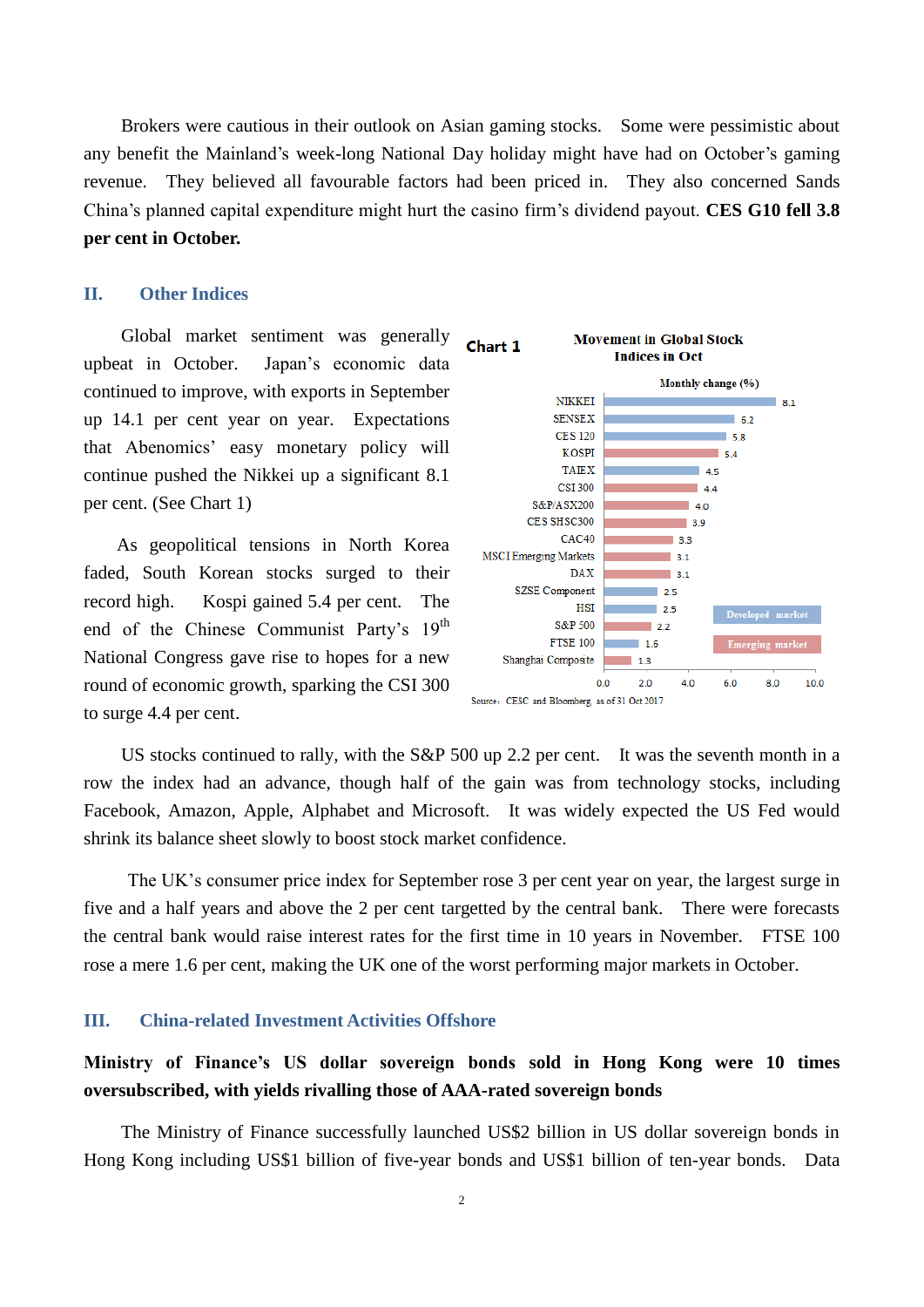Brokers were cautious in their outlook on Asian gaming stocks. Some were pessimistic about any benefit the Mainland's week-long National Day holiday might have had on October's gaming revenue. They believed all favourable factors had been priced in. They also concerned Sands China's planned capital expenditure might hurt the casino firm's dividend payout. **CES G10 fell 3.8 per cent in October.**

#### **II. Other Indices**

Global market sentiment was generally upbeat in October. Japan's economic data continued to improve, with exports in September up 14.1 per cent year on year. Expectations that Abenomics' easy monetary policy will continue pushed the Nikkei up a significant 8.1 per cent. (See Chart 1)

As geopolitical tensions in North Korea faded, South Korean stocks surged to their record high. Kospi gained 5.4 per cent. The end of the Chinese Communist Party's 19<sup>th</sup> National Congress gave rise to hopes for a new round of economic growth, sparking the CSI 300 to surge 4.4 per cent.



US stocks continued to rally, with the S&P 500 up 2.2 per cent. It was the seventh month in a row the index had an advance, though half of the gain was from technology stocks, including Facebook, Amazon, Apple, Alphabet and Microsoft. It was widely expected the US Fed would shrink its balance sheet slowly to boost stock market confidence.

The UK's consumer price index for September rose 3 per cent year on year, the largest surge in five and a half years and above the 2 per cent targetted by the central bank. There were forecasts the central bank would raise interest rates for the first time in 10 years in November. FTSE 100 rose a mere 1.6 per cent, making the UK one of the worst performing major markets in October.

#### **III. China-related Investment Activities Offshore**

## **Ministry of Finance's US dollar sovereign bonds sold in Hong Kong were 10 times oversubscribed, with yields rivalling those of AAA-rated sovereign bonds**

The Ministry of Finance successfully launched US\$2 billion in US dollar sovereign bonds in Hong Kong including US\$1 billion of five-year bonds and US\$1 billion of ten-year bonds. Data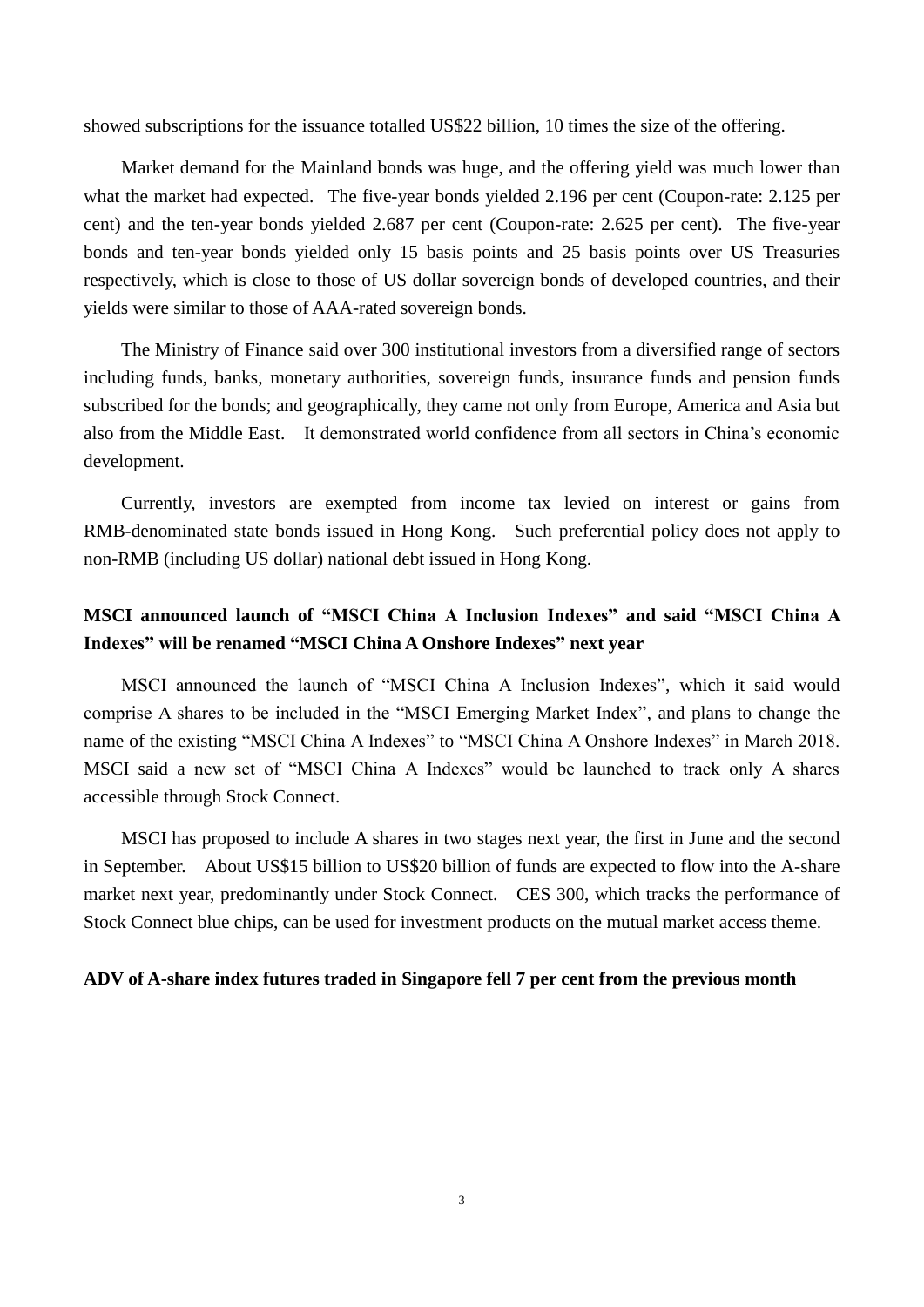showed subscriptions for the issuance totalled US\$22 billion, 10 times the size of the offering.

Market demand for the Mainland bonds was huge, and the offering yield was much lower than what the market had expected. The five-year bonds yielded 2.196 per cent (Coupon-rate: 2.125 per cent) and the ten-year bonds yielded 2.687 per cent (Coupon-rate: 2.625 per cent). The five-year bonds and ten-year bonds yielded only 15 basis points and 25 basis points over US Treasuries respectively, which is close to those of US dollar sovereign bonds of developed countries, and their yields were similar to those of AAA-rated sovereign bonds.

The Ministry of Finance said over 300 institutional investors from a diversified range of sectors including funds, banks, monetary authorities, sovereign funds, insurance funds and pension funds subscribed for the bonds; and geographically, they came not only from Europe, America and Asia but also from the Middle East. It demonstrated world confidence from all sectors in China's economic development.

Currently, investors are exempted from income tax levied on interest or gains from RMB-denominated state bonds issued in Hong Kong. Such preferential policy does not apply to non-RMB (including US dollar) national debt issued in Hong Kong.

## **MSCI announced launch of "MSCI China A Inclusion Indexes" and said "MSCI China A Indexes" will be renamed "MSCI China A Onshore Indexes" next year**

MSCI announced the launch of "MSCI China A Inclusion Indexes", which it said would comprise A shares to be included in the "MSCI Emerging Market Index", and plans to change the name of the existing "MSCI China A Indexes" to "MSCI China A Onshore Indexes" in March 2018. MSCI said a new set of "MSCI China A Indexes" would be launched to track only A shares accessible through Stock Connect.

MSCI has proposed to include A shares in two stages next year, the first in June and the second in September. About US\$15 billion to US\$20 billion of funds are expected to flow into the A-share market next year, predominantly under Stock Connect. CES 300, which tracks the performance of Stock Connect blue chips, can be used for investment products on the mutual market access theme.

#### **ADV of A-share index futures traded in Singapore fell 7 per cent from the previous month**